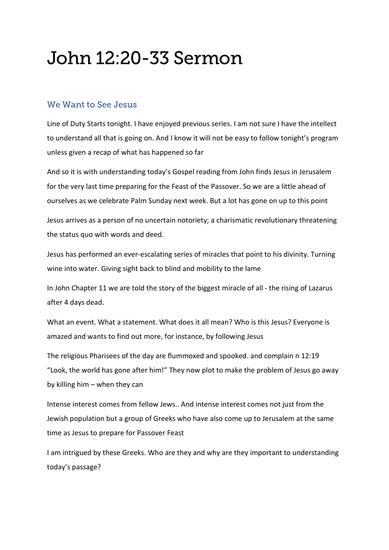## John 12:20-33 Sermon

## We Want to See Jesus

Line of Duty Starts tonight. I have enjoyed previous series. I am not sure I have the intellect to understand all that is going on. And I know it will not be easy to follow tonight's program unless given a recap of what has happened so far

And so it is with understanding today's Gospel reading from John finds Jesus in Jerusalem for the very last time preparing for the Feast of the Passover. So we are a little ahead of ourselves as we celebrate Palm Sunday next week. But a lot has gone on up to this point

Jesus arrives as a person of no uncertain notoriety; a charismatic revolutionary threatening the status quo with words and deed.

Jesus has performed an ever-escalating series of miracles that point to his divinity. Turning wine into water. Giving sight back to blind and mobility to the lame

In John Chapter 11 we are told the story of the biggest miracle of all - the rising of Lazarus after 4 days dead.

What an event. What a statement. What does it all mean? Who is this Jesus? Everyone is amazed and wants to find out more, for instance, by following Jesus

The religious Pharisees of the day are flummoxed and spooked. and complain n 12:19 "Look, the world has gone after him!" They now plot to make the problem of Jesus go away by killing him – when they can

Intense interest comes from fellow Jews.. And intense interest comes not just from the Jewish population but a group of Greeks who have also come up to Jerusalem at the same time as Jesus to prepare for Passover Feast

I am intrigued by these Greeks. Who are they and why are they important to understanding today's passage?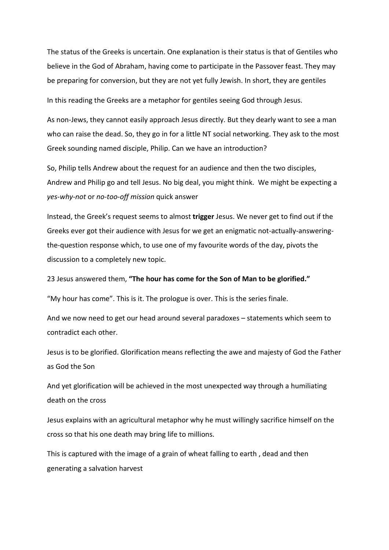The status of the Greeks is uncertain. One explanation is their status is that of Gentiles who believe in the God of Abraham, having come to participate in the Passover feast. They may be preparing for conversion, but they are not yet fully Jewish. In short, they are gentiles

In this reading the Greeks are a metaphor for gentiles seeing God through Jesus.

As non-Jews, they cannot easily approach Jesus directly. But they dearly want to see a man who can raise the dead. So, they go in for a little NT social networking. They ask to the most Greek sounding named disciple, Philip. Can we have an introduction?

So, Philip tells Andrew about the request for an audience and then the two disciples, Andrew and Philip go and tell Jesus. No big deal, you might think. We might be expecting a *yes-why-not* or *no-too-off mission* quick answer

Instead, the Greek's request seems to almost **trigger** Jesus. We never get to find out if the Greeks ever got their audience with Jesus for we get an enigmatic not-actually-answeringthe-question response which, to use one of my favourite words of the day, pivots the discussion to a completely new topic.

23 Jesus answered them, **"The hour has come for the Son of Man to be glorified."**

"My hour has come". This is it. The prologue is over. This is the series finale.

And we now need to get our head around several paradoxes – statements which seem to contradict each other.

Jesus is to be glorified. Glorification means reflecting the awe and majesty of God the Father as God the Son

And yet glorification will be achieved in the most unexpected way through a humiliating death on the cross

Jesus explains with an agricultural metaphor why he must willingly sacrifice himself on the cross so that his one death may bring life to millions.

This is captured with the image of a grain of wheat falling to earth , dead and then generating a salvation harvest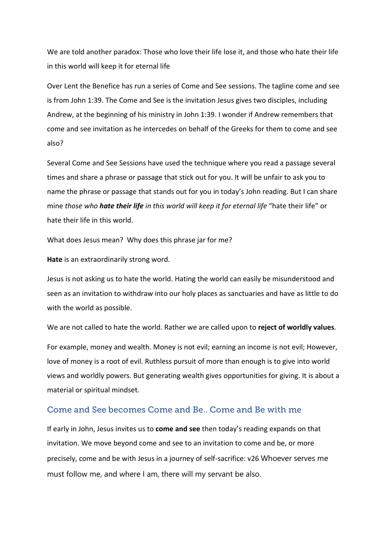We are told another paradox: Those who love their life lose it, and those who hate their life in this world will keep it for eternal life

Over Lent the Benefice has run a series of Come and See sessions. The tagline come and see is from John 1:39. The Come and See is the invitation Jesus gives two disciples, including Andrew, at the beginning of his ministry in John 1:39. I wonder if Andrew remembers that come and see invitation as he intercedes on behalf of the Greeks for them to come and see also?

Several Come and See Sessions have used the technique where you read a passage several times and share a phrase or passage that stick out for you. It will be unfair to ask you to name the phrase or passage that stands out for you in today's John reading. But I can share mine *those who hate their life in this world will keep it for eternal life* "hate their life" or hate their life in this world.

What does Jesus mean? Why does this phrase jar for me?

**Hate** is an extraordinarily strong word.

Jesus is not asking us to hate the world. Hating the world can easily be misunderstood and seen as an invitation to withdraw into our holy places as sanctuaries and have as little to do with the world as possible.

We are not called to hate the world. Rather we are called upon to **reject of worldly values**.

For example, money and wealth. Money is not evil; earning an income is not evil; However, love of money is a root of evil. Ruthless pursuit of more than enough is to give into world views and worldly powers. But generating wealth gives opportunities for giving. It is about a material or spiritual mindset.

## Come and See becomes Come and Be.. Come and Be with me

If early in John, Jesus invites us to **come and see** then today's reading expands on that invitation. We move beyond come and see to an invitation to come and be, or more precisely, come and be with Jesus in a journey of self-sacrifice: v26 Whoever serves me must follow me, and where I am, there will my servant be also.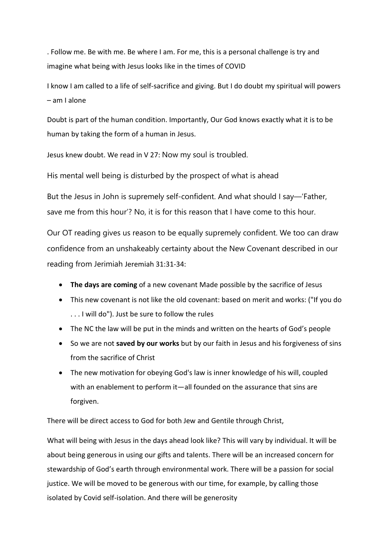. Follow me. Be with me. Be where I am. For me, this is a personal challenge is try and imagine what being with Jesus looks like in the times of COVID

I know I am called to a life of self-sacrifice and giving. But I do doubt my spiritual will powers – am I alone

Doubt is part of the human condition. Importantly, Our God knows exactly what it is to be human by taking the form of a human in Jesus.

Jesus knew doubt. We read in V 27: Now my soul is troubled.

His mental well being is disturbed by the prospect of what is ahead

But the Jesus in John is supremely self-confident. And what should I say—'Father, save me from this hour'? No, it is for this reason that I have come to this hour.

Our OT reading gives us reason to be equally supremely confident. We too can draw confidence from an unshakeably certainty about the New Covenant described in our reading from Jerimiah Jeremiah 31:31-34:

- **The days are coming** of a new covenant Made possible by the sacrifice of Jesus
- This new covenant is not like the old covenant: based on merit and works: ("If you do . . . I will do"). Just be sure to follow the rules
- The NC the law will be put in the minds and written on the hearts of God's people
- So we are not **saved by our works** but by our faith in Jesus and his forgiveness of sins from the sacrifice of Christ
- The new motivation for obeying God's law is inner knowledge of his will, coupled with an enablement to perform it—all founded on the assurance that sins are forgiven.

There will be direct access to God for both Jew and Gentile through Christ,

What will being with Jesus in the days ahead look like? This will vary by individual. It will be about being generous in using our gifts and talents. There will be an increased concern for stewardship of God's earth through environmental work. There will be a passion for social justice. We will be moved to be generous with our time, for example, by calling those isolated by Covid self-isolation. And there will be generosity